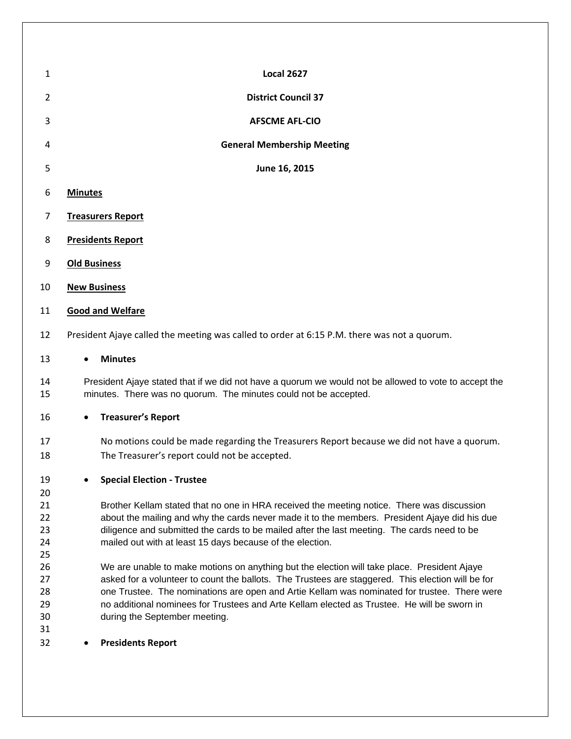| $\mathbf{1}$               | <b>Local 2627</b>                                                                                                                                                                                                                                                                                                                                                                                                                |  |  |  |
|----------------------------|----------------------------------------------------------------------------------------------------------------------------------------------------------------------------------------------------------------------------------------------------------------------------------------------------------------------------------------------------------------------------------------------------------------------------------|--|--|--|
| 2                          | <b>District Council 37</b>                                                                                                                                                                                                                                                                                                                                                                                                       |  |  |  |
| 3                          | <b>AFSCME AFL-CIO</b>                                                                                                                                                                                                                                                                                                                                                                                                            |  |  |  |
| 4                          | <b>General Membership Meeting</b>                                                                                                                                                                                                                                                                                                                                                                                                |  |  |  |
| 5                          | June 16, 2015                                                                                                                                                                                                                                                                                                                                                                                                                    |  |  |  |
| 6                          | <b>Minutes</b>                                                                                                                                                                                                                                                                                                                                                                                                                   |  |  |  |
| 7                          | <b>Treasurers Report</b>                                                                                                                                                                                                                                                                                                                                                                                                         |  |  |  |
| 8                          | <b>Presidents Report</b>                                                                                                                                                                                                                                                                                                                                                                                                         |  |  |  |
| 9                          | <b>Old Business</b>                                                                                                                                                                                                                                                                                                                                                                                                              |  |  |  |
| 10                         | <b>New Business</b>                                                                                                                                                                                                                                                                                                                                                                                                              |  |  |  |
| 11                         | <b>Good and Welfare</b>                                                                                                                                                                                                                                                                                                                                                                                                          |  |  |  |
| 12                         | President Ajaye called the meeting was called to order at 6:15 P.M. there was not a quorum.                                                                                                                                                                                                                                                                                                                                      |  |  |  |
| 13                         | <b>Minutes</b>                                                                                                                                                                                                                                                                                                                                                                                                                   |  |  |  |
| 14<br>15                   | President Ajaye stated that if we did not have a quorum we would not be allowed to vote to accept the<br>minutes. There was no quorum. The minutes could not be accepted.                                                                                                                                                                                                                                                        |  |  |  |
| 16                         | <b>Treasurer's Report</b><br>$\bullet$                                                                                                                                                                                                                                                                                                                                                                                           |  |  |  |
| 17<br>18                   | No motions could be made regarding the Treasurers Report because we did not have a quorum.<br>The Treasurer's report could not be accepted.                                                                                                                                                                                                                                                                                      |  |  |  |
| 19<br>20                   | <b>Special Election - Trustee</b>                                                                                                                                                                                                                                                                                                                                                                                                |  |  |  |
| 21<br>22<br>23<br>24<br>25 | Brother Kellam stated that no one in HRA received the meeting notice. There was discussion<br>about the mailing and why the cards never made it to the members. President Ajaye did his due<br>diligence and submitted the cards to be mailed after the last meeting. The cards need to be<br>mailed out with at least 15 days because of the election.                                                                          |  |  |  |
| 26<br>27<br>28<br>29<br>30 | We are unable to make motions on anything but the election will take place. President Ajaye<br>asked for a volunteer to count the ballots. The Trustees are staggered. This election will be for<br>one Trustee. The nominations are open and Artie Kellam was nominated for trustee. There were<br>no additional nominees for Trustees and Arte Kellam elected as Trustee. He will be sworn in<br>during the September meeting. |  |  |  |
| 31<br>32                   | <b>Presidents Report</b>                                                                                                                                                                                                                                                                                                                                                                                                         |  |  |  |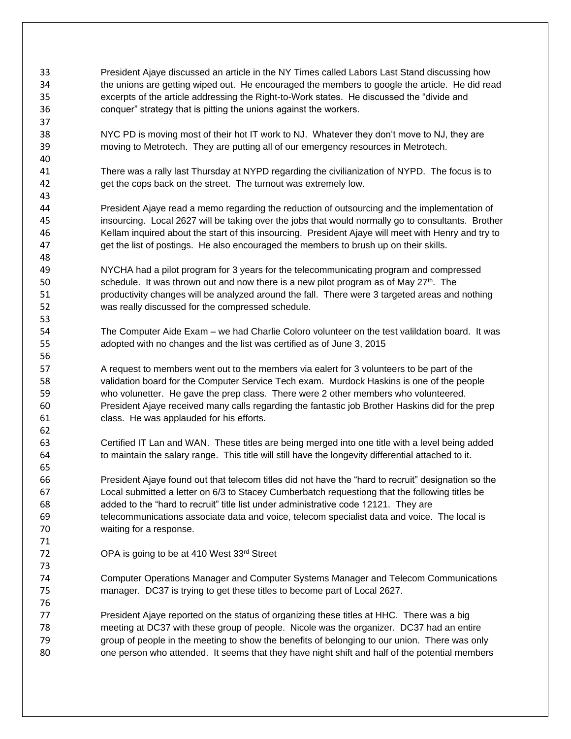President Ajaye discussed an article in the NY Times called Labors Last Stand discussing how the unions are getting wiped out. He encouraged the members to google the article. He did read excerpts of the article addressing the Right-to-Work states. He discussed the "divide and conquer" strategy that is pitting the unions against the workers. NYC PD is moving most of their hot IT work to NJ. Whatever they don't move to NJ, they are moving to Metrotech. They are putting all of our emergency resources in Metrotech. There was a rally last Thursday at NYPD regarding the civilianization of NYPD. The focus is to get the cops back on the street. The turnout was extremely low. President Ajaye read a memo regarding the reduction of outsourcing and the implementation of insourcing. Local 2627 will be taking over the jobs that would normally go to consultants. Brother Kellam inquired about the start of this insourcing. President Ajaye will meet with Henry and try to get the list of postings. He also encouraged the members to brush up on their skills. NYCHA had a pilot program for 3 years for the telecommunicating program and compressed 50 schedule. It was thrown out and now there is a new pilot program as of May  $27<sup>th</sup>$ . The productivity changes will be analyzed around the fall. There were 3 targeted areas and nothing was really discussed for the compressed schedule. The Computer Aide Exam – we had Charlie Coloro volunteer on the test valildation board. It was adopted with no changes and the list was certified as of June 3, 2015 A request to members went out to the members via ealert for 3 volunteers to be part of the validation board for the Computer Service Tech exam. Murdock Haskins is one of the people who volunetter. He gave the prep class. There were 2 other members who volunteered. President Ajaye received many calls regarding the fantastic job Brother Haskins did for the prep class. He was applauded for his efforts. Certified IT Lan and WAN. These titles are being merged into one title with a level being added to maintain the salary range. This title will still have the longevity differential attached to it. President Ajaye found out that telecom titles did not have the "hard to recruit" designation so the Local submitted a letter on 6/3 to Stacey Cumberbatch requestiong that the following titles be added to the "hard to recruit" title list under administrative code 12121. They are telecommunications associate data and voice, telecom specialist data and voice. The local is waiting for a response. 72 OPA is going to be at 410 West 33rd Street Computer Operations Manager and Computer Systems Manager and Telecom Communications manager. DC37 is trying to get these titles to become part of Local 2627. President Ajaye reported on the status of organizing these titles at HHC. There was a big meeting at DC37 with these group of people. Nicole was the organizer. DC37 had an entire group of people in the meeting to show the benefits of belonging to our union. There was only one person who attended. It seems that they have night shift and half of the potential members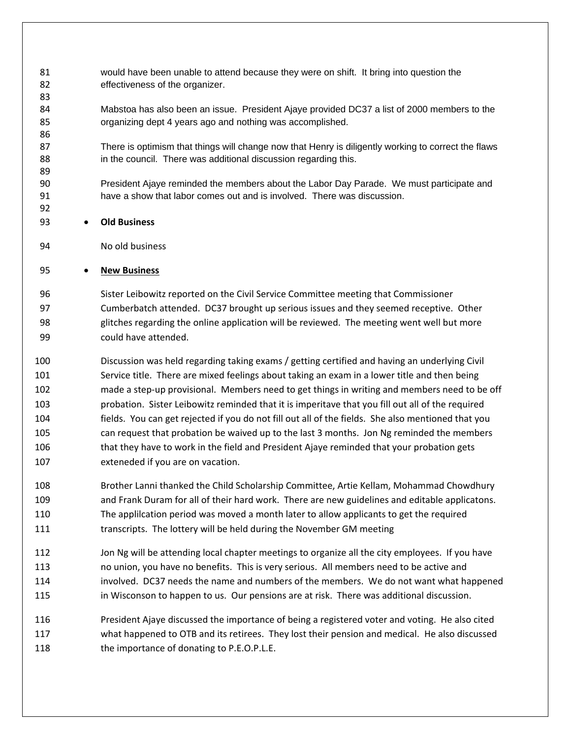- would have been unable to attend because they were on shift. It bring into question the effectiveness of the organizer.
- Mabstoa has also been an issue. President Ajaye provided DC37 a list of 2000 members to the organizing dept 4 years ago and nothing was accomplished.
- There is optimism that things will change now that Henry is diligently working to correct the flaws 88 in the council. There was additional discussion regarding this.
- President Ajaye reminded the members about the Labor Day Parade. We must participate and have a show that labor comes out and is involved. There was discussion.
- **Old Business**

No old business

## **New Business**

 Sister Leibowitz reported on the Civil Service Committee meeting that Commissioner Cumberbatch attended. DC37 brought up serious issues and they seemed receptive. Other glitches regarding the online application will be reviewed. The meeting went well but more could have attended.

- Discussion was held regarding taking exams / getting certified and having an underlying Civil Service title. There are mixed feelings about taking an exam in a lower title and then being made a step-up provisional. Members need to get things in writing and members need to be off probation. Sister Leibowitz reminded that it is imperitave that you fill out all of the required fields. You can get rejected if you do not fill out all of the fields. She also mentioned that you can request that probation be waived up to the last 3 months. Jon Ng reminded the members that they have to work in the field and President Ajaye reminded that your probation gets exteneded if you are on vacation.
- Brother Lanni thanked the Child Scholarship Committee, Artie Kellam, Mohammad Chowdhury and Frank Duram for all of their hard work. There are new guidelines and editable applicatons. The applilcation period was moved a month later to allow applicants to get the required transcripts. The lottery will be held during the November GM meeting
- 112 Jon Ng will be attending local chapter meetings to organize all the city employees. If you have no union, you have no benefits. This is very serious. All members need to be active and involved. DC37 needs the name and numbers of the members. We do not want what happened 115 in Wisconson to happen to us. Our pensions are at risk. There was additional discussion.
- President Ajaye discussed the importance of being a registered voter and voting. He also cited what happened to OTB and its retirees. They lost their pension and medical. He also discussed 118 the importance of donating to P.E.O.P.L.E.